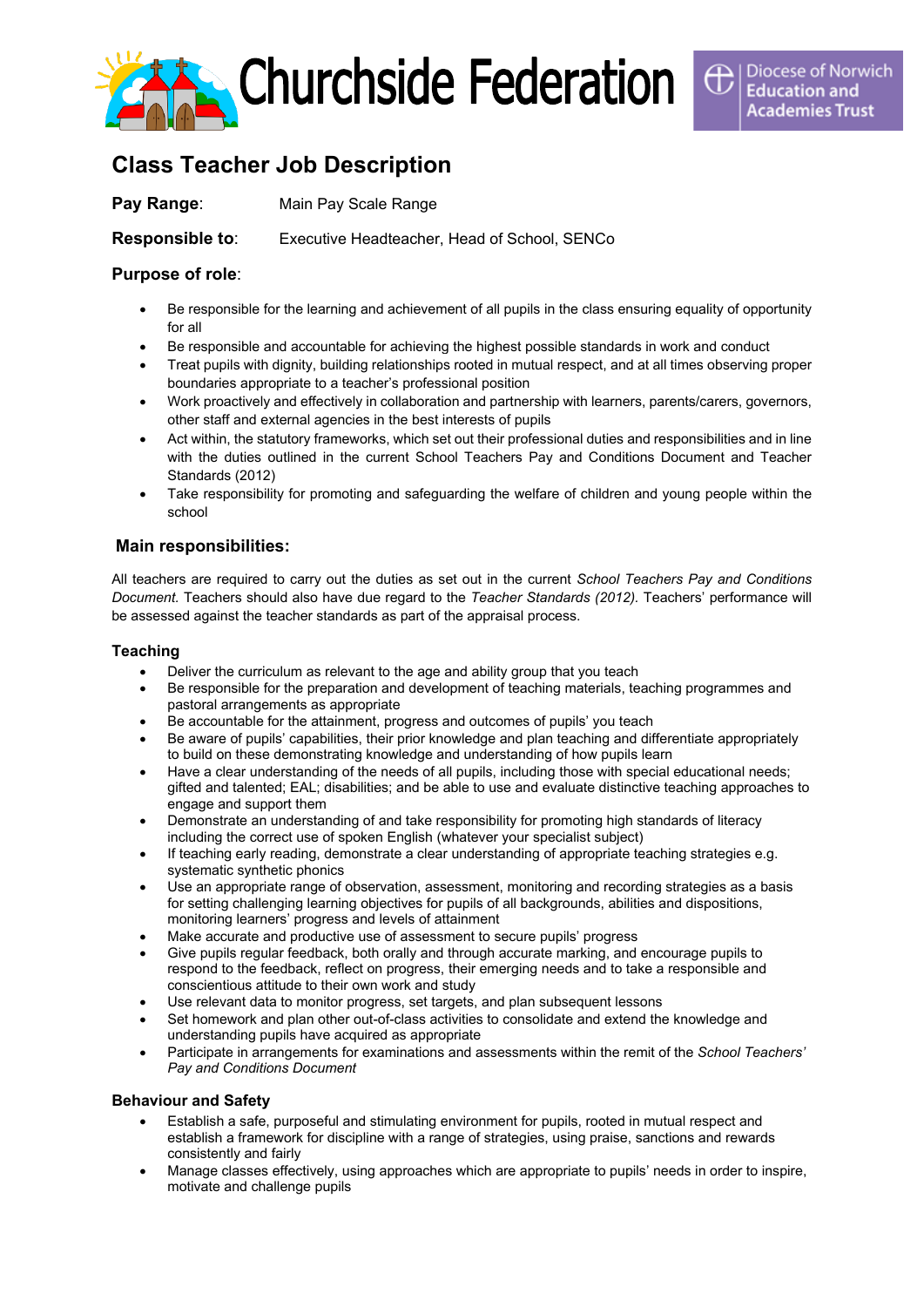

# **Class Teacher Job Description**

**Pay Range:** Main Pay Scale Range

**Responsible to**: Executive Headteacher, Head of School, SENCo

# **Purpose of role**:

- Be responsible for the learning and achievement of all pupils in the class ensuring equality of opportunity for all
- Be responsible and accountable for achieving the highest possible standards in work and conduct
- Treat pupils with dignity, building relationships rooted in mutual respect, and at all times observing proper boundaries appropriate to a teacher's professional position
- Work proactively and effectively in collaboration and partnership with learners, parents/carers, governors, other staff and external agencies in the best interests of pupils
- Act within, the statutory frameworks, which set out their professional duties and responsibilities and in line with the duties outlined in the current School Teachers Pay and Conditions Document and Teacher Standards (2012)
- Take responsibility for promoting and safeguarding the welfare of children and young people within the school

# **Main responsibilities:**

All teachers are required to carry out the duties as set out in the current *[School Teachers Pay and Conditions](https://www.education.gov.uk/publications/) [Document.](https://www.education.gov.uk/publications/)* Teachers should also have due regard to the *Teacher Standards (2012).* Teachers' performance will be assessed against the teacher [standards](https://www.education.gov.uk/publications/standard/publicationDetail/Page1/DFE-00066-2011) as part of the appraisal process.

# **Teaching**

- Deliver the curriculum as relevant to the age and ability group that you teach
- Be responsible for the preparation and development of teaching materials, teaching programmes and pastoral arrangements as appropriate
- Be accountable for the attainment, progress and outcomes of pupils' you teach
- Be aware of pupils' capabilities, their prior knowledge and plan teaching and differentiate appropriately to build on these demonstrating knowledge and understanding of how pupils learn
- Have a clear understanding of the needs of all pupils, including those with special educational needs; gifted and talented; EAL; disabilities; and be able to use and evaluate distinctive teaching approaches to engage and support them
- Demonstrate an understanding of and take responsibility for promoting high standards of literacy including the correct use of spoken English (whatever your specialist subject)
- If teaching early reading, demonstrate a clear understanding of appropriate teaching strategies e.g. systematic synthetic phonics
- Use an appropriate range of observation, assessment, monitoring and recording strategies as a basis for setting challenging learning objectives for pupils of all backgrounds, abilities and dispositions, monitoring learners' progress and levels of attainment
- Make accurate and productive use of assessment to secure pupils' progress
- Give pupils regular feedback, both orally and through accurate marking, and encourage pupils to respond to the feedback, reflect on progress, their emerging needs and to take a responsible and conscientious attitude to their own work and study
- Use relevant data to monitor progress, set targets, and plan subsequent lessons
- Set homework and plan other out-of-class activities to consolidate and extend the knowledge and understanding pupils have acquired as appropriate
- Participate in arrangements for examinations and assessments within the remit of the *School Teachers' Pay and Conditions Document*

# **Behaviour and Safety**

- Establish a safe, purposeful and stimulating environment for pupils, rooted in mutual respect and establish a framework for discipline with a range of strategies, using praise, sanctions and rewards consistently and fairly
- Manage classes effectively, using approaches which are appropriate to pupils' needs in order to inspire, motivate and challenge pupils